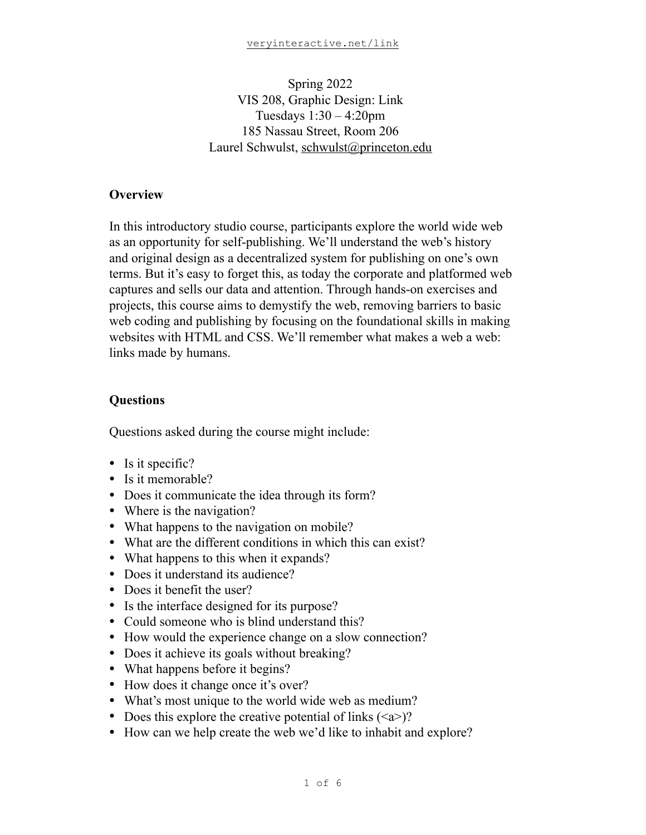## Spring 2022 VIS 208, Graphic Design: Link Tuesdays 1:30 – 4:20pm 185 Nassau Street, Room 206 Laurel Schwulst, [schwulst@princeton.edu](mailto:schwulst@princeton.edu)

### **Overview**

In this introductory studio course, participants explore the world wide web as an opportunity for self-publishing. We'll understand the web's history and original design as a decentralized system for publishing on one's own terms. But it's easy to forget this, as today the corporate and platformed web captures and sells our data and attention. Through hands-on exercises and projects, this course aims to demystify the web, removing barriers to basic web coding and publishing by focusing on the foundational skills in making websites with HTML and CSS. We'll remember what makes a web a web: links made by humans.

### **Questions**

Questions asked during the course might include:

- Is it specific?
- Is it memorable?
- Does it communicate the idea through its form?
- Where is the navigation?
- What happens to the navigation on mobile?
- What are the different conditions in which this can exist?
- What happens to this when it expands?
- Does it understand its audience?
- Does it benefit the user?
- Is the interface designed for its purpose?
- Could someone who is blind understand this?
- How would the experience change on a slow connection?
- Does it achieve its goals without breaking?
- What happens before it begins?
- How does it change once it's over?
- What's most unique to the world wide web as medium?
- Does this explore the creative potential of links  $(\leq a >)$ ?
- How can we help create the web we'd like to inhabit and explore?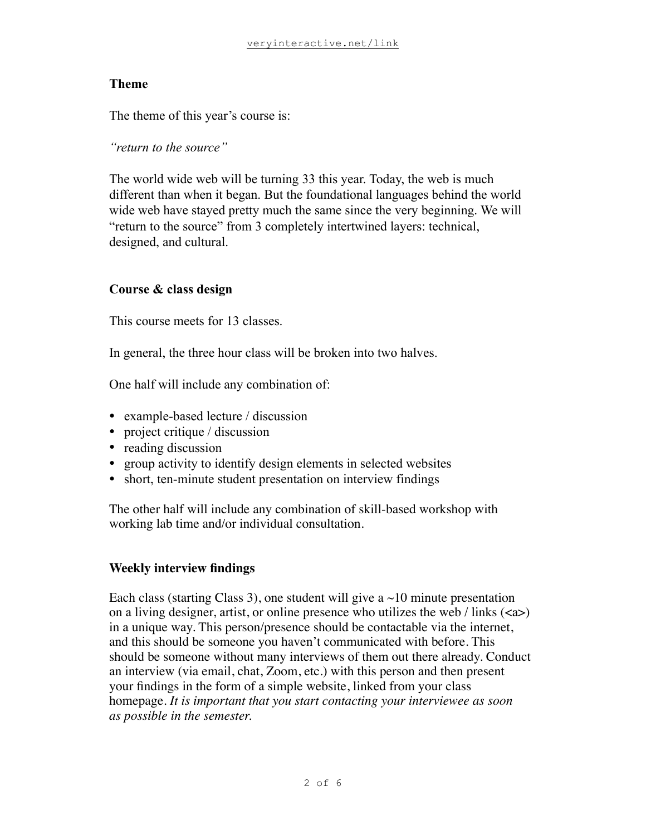### **Theme**

The theme of this year's course is:

*"return to the source"*

The world wide web will be turning 33 this year. Today, the web is much different than when it began. But the foundational languages behind the world wide web have stayed pretty much the same since the very beginning. We will "return to the source" from 3 completely intertwined layers: technical, designed, and cultural.

### **Course & class design**

This course meets for 13 classes.

In general, the three hour class will be broken into two halves.

One half will include any combination of:

- example-based lecture / discussion
- project critique / discussion
- reading discussion
- group activity to identify design elements in selected websites
- short, ten-minute student presentation on interview findings

The other half will include any combination of skill-based workshop with working lab time and/or individual consultation.

#### **Weekly interview findings**

Each class (starting Class 3), one student will give a  $\sim$ 10 minute presentation on a living designer, artist, or online presence who utilizes the web / links  $(\langle a \rangle)$ in a unique way. This person/presence should be contactable via the internet, and this should be someone you haven't communicated with before. This should be someone without many interviews of them out there already. Conduct an interview (via email, chat, Zoom, etc.) with this person and then present your findings in the form of a simple website, linked from your class homepage. *It is important that you start contacting your interviewee as soon as possible in the semester.*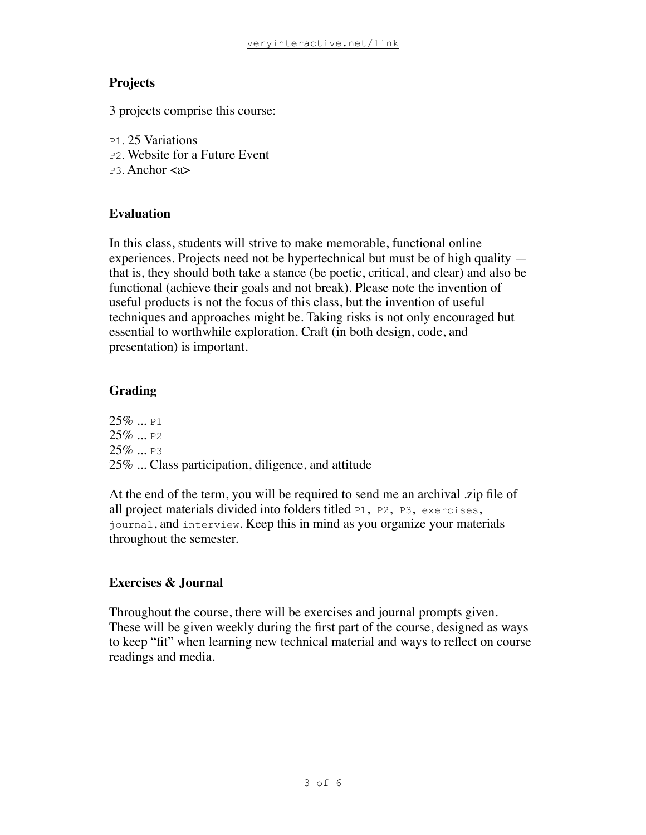## **Projects**

3 projects comprise this course:

- P1. 25 Variations
- P2. Website for a Future Event
- P3. Anchor <a>

## **Evaluation**

In this class, students will strive to make memorable, functional online experiences. Projects need not be hypertechnical but must be of high quality that is, they should both take a stance (be poetic, critical, and clear) and also be functional (achieve their goals and not break). Please note the invention of useful products is not the focus of this class, but the invention of useful techniques and approaches might be. Taking risks is not only encouraged but essential to worthwhile exploration. Craft (in both design, code, and presentation) is important.

# **Grading**

 $25\%$  ... P1  $25\%$  ... P2  $25\%$  ... P3 25% ... Class participation, diligence, and attitude

At the end of the term, you will be required to send me an archival .zip file of all project materials divided into folders titled P1, P2, P3, exercises, journal, and interview. Keep this in mind as you organize your materials throughout the semester.

# **Exercises & Journal**

Throughout the course, there will be exercises and journal prompts given. These will be given weekly during the first part of the course, designed as ways to keep "fit" when learning new technical material and ways to reflect on course readings and media.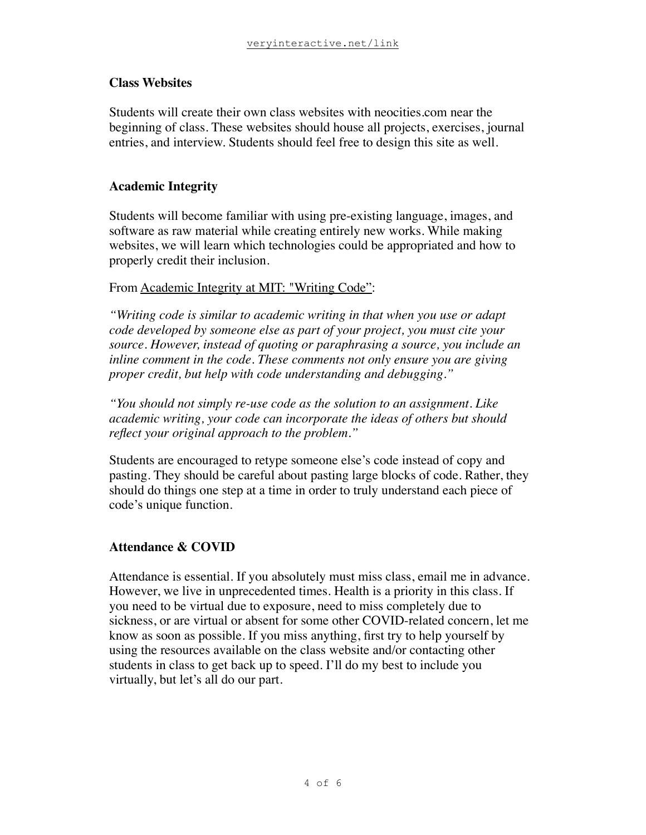#### **Class Websites**

Students will create their own class websites with neocities.com near the beginning of class. These websites should house all projects, exercises, journal entries, and interview. Students should feel free to design this site as well.

### **Academic Integrity**

Students will become familiar with using pre-existing language, images, and software as raw material while creating entirely new works. While making websites, we will learn which technologies could be appropriated and how to properly credit their inclusion.

### From [Academic Integrity at MIT: "Writing Code":](https://integrity.mit.edu/handbook/writing-code)

*"Writing code is similar to academic writing in that when you use or adapt code developed by someone else as part of your project, you must cite your source. However, instead of quoting or paraphrasing a source, you include an inline comment in the code. These comments not only ensure you are giving proper credit, but help with code understanding and debugging."*

*"You should not simply re-use code as the solution to an assignment. Like academic writing, your code can incorporate the ideas of others but should reflect your original approach to the problem."*

Students are encouraged to retype someone else's code instead of copy and pasting. They should be careful about pasting large blocks of code. Rather, they should do things one step at a time in order to truly understand each piece of code's unique function.

### **Attendance & COVID**

Attendance is essential. If you absolutely must miss class, email me in advance. However, we live in unprecedented times. Health is a priority in this class. If you need to be virtual due to exposure, need to miss completely due to sickness, or are virtual or absent for some other COVID-related concern, let me know as soon as possible. If you miss anything, first try to help yourself by using the resources available on the class website and/or contacting other students in class to get back up to speed. I'll do my best to include you virtually, but let's all do our part.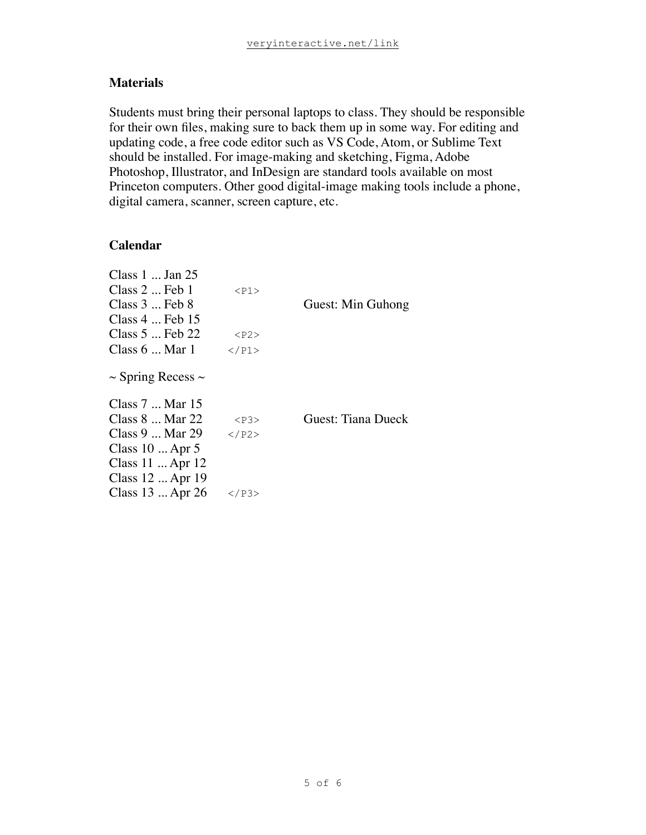### **Materials**

Students must bring their personal laptops to class. They should be responsible for their own files, making sure to back them up in some way. For editing and updating code, a free code editor such as VS Code, Atom, or Sublime Text should be installed. For image-making and sketching, Figma, Adobe Photoshop, Illustrator, and InDesign are standard tools available on most Princeton computers. Other good digital-image making tools include a phone, digital camera, scanner, screen capture, etc.

### **Calendar**

| Class $1 \dots$ Jan $25$<br>$Class 2 \dots Feb 1$<br>Class $3 \dots$ Feb $8$<br>Class $4 \dots$ Feb 15 | $<$ P $1>$  | Guest: Min Guhong  |
|--------------------------------------------------------------------------------------------------------|-------------|--------------------|
| Class $5 \dots$ Feb 22                                                                                 | $<$ P2>     |                    |
| Class $6 \dots$ Mar 1                                                                                  | $<$ /P1>    |                    |
| $\sim$ Spring Recess $\sim$<br>Class 7  Mar 15                                                         |             |                    |
| Class $8 \dots$ Mar 22                                                                                 | $<$ P $3$ > | Guest: Tiana Dueck |
| Class 9  Mar 29                                                                                        | $<$ /P2>    |                    |
| Class $10 \dots$ Apr 5                                                                                 |             |                    |
| Class $11 \dots$ Apr $12$<br>Class 12  Apr 19                                                          |             |                    |
| Class $13 \dots$ Apr $26$                                                                              | $<$ /P3>    |                    |